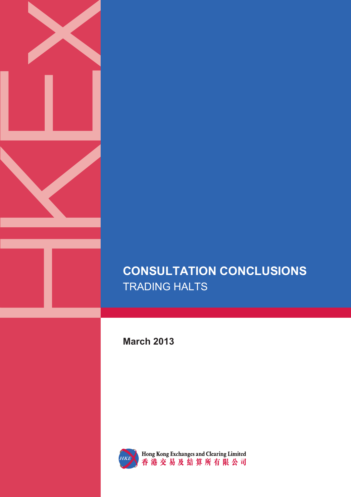

**March 2013** 



Hong Kong Exchanges and Clearing Limited<br>香港交易及結算所有限公司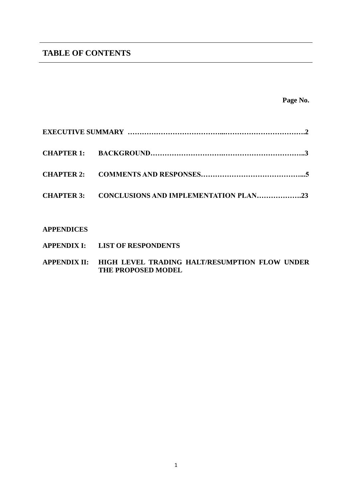# **TABLE OF CONTENTS**

**Page No.**

| CHAPTER 3: CONCLUSIONS AND IMPLEMENTATION PLAN23 |  |
|--------------------------------------------------|--|

## **APPENDICES**

- **APPENDIX I: LIST OF RESPONDENTS**
- **APPENDIX II: HIGH LEVEL TRADING HALT/RESUMPTION FLOW UNDER THE PROPOSED MODEL**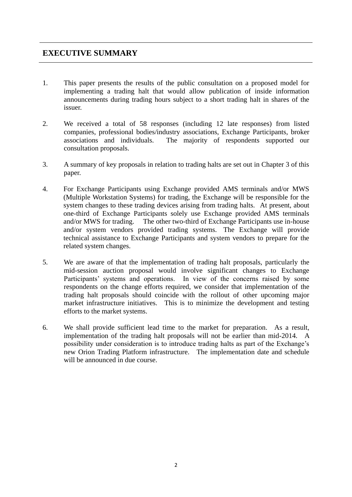# **EXECUTIVE SUMMARY**

- 1. This paper presents the results of the public consultation on a proposed model for implementing a trading halt that would allow publication of inside information announcements during trading hours subject to a short trading halt in shares of the issuer.
- 2. We received a total of 58 responses (including 12 late responses) from listed companies, professional bodies/industry associations, Exchange Participants, broker associations and individuals. The majority of respondents supported our consultation proposals.
- 3. A summary of key proposals in relation to trading halts are set out in Chapter 3 of this paper.
- 4. For Exchange Participants using Exchange provided AMS terminals and/or MWS (Multiple Workstation Systems) for trading, the Exchange will be responsible for the system changes to these trading devices arising from trading halts. At present, about one-third of Exchange Participants solely use Exchange provided AMS terminals and/or MWS for trading. The other two-third of Exchange Participants use in-house and/or system vendors provided trading systems. The Exchange will provide technical assistance to Exchange Participants and system vendors to prepare for the related system changes.
- 5. We are aware of that the implementation of trading halt proposals, particularly the mid-session auction proposal would involve significant changes to Exchange Participants' systems and operations. In view of the concerns raised by some respondents on the change efforts required, we consider that implementation of the trading halt proposals should coincide with the rollout of other upcoming major market infrastructure initiatives. This is to minimize the development and testing efforts to the market systems.
- 6. We shall provide sufficient lead time to the market for preparation. As a result, implementation of the trading halt proposals will not be earlier than mid-2014. A possibility under consideration is to introduce trading halts as part of the Exchange's new Orion Trading Platform infrastructure. The implementation date and schedule will be announced in due course.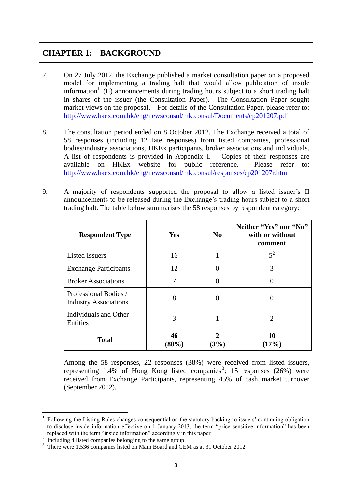# **CHAPTER 1: BACKGROUND**

- 7. On 27 July 2012, the Exchange published a market consultation paper on a proposed model for implementing a trading halt that would allow publication of inside information<sup>1</sup> (II) announcements during trading hours subject to a short trading halt in shares of the issuer (the Consultation Paper). The Consultation Paper sought market views on the proposal. For details of the Consultation Paper, please refer to: <http://www.hkex.com.hk/eng/newsconsul/mktconsul/Documents/cp201207.pdf>
- 8. The consultation period ended on 8 October 2012. The Exchange received a total of 58 responses (including 12 late responses) from listed companies, professional bodies/industry associations, HKEx participants, broker associations and individuals. A list of respondents is provided in Appendix I. Copies of their responses are available on HKEx website for public reference. Please refer to: <http://www.hkex.com.hk/eng/newsconsul/mktconsul/responses/cp201207r.htm>
- 9. A majority of respondents supported the proposal to allow a listed issuer's II announcements to be released during the Exchange's trading hours subject to a short trading halt. The table below summarises the 58 responses by respondent category:

| <b>Respondent Type</b>                                | <b>Yes</b>     | N <sub>0</sub> | Neither "Yes" nor "No"<br>with or without<br>comment |
|-------------------------------------------------------|----------------|----------------|------------------------------------------------------|
| <b>Listed Issuers</b>                                 | 16             | 1              | $5^2$                                                |
| <b>Exchange Participants</b>                          | 12             | $\Omega$       | 3                                                    |
| <b>Broker Associations</b>                            | 7              | $\Omega$       |                                                      |
| Professional Bodies /<br><b>Industry Associations</b> | 8              | $\theta$       |                                                      |
| Individuals and Other<br>Entities                     | 3              |                | $\mathcal{D}_{\mathcal{L}}$                          |
| <b>Total</b>                                          | 46<br>$(80\%)$ | 2<br>(3%)      | 10<br>(17%)                                          |

Among the 58 responses, 22 responses (38%) were received from listed issuers, representing  $1.4\%$  of Hong Kong listed companies<sup>3</sup>; 15 responses (26%) were received from Exchange Participants, representing 45% of cash market turnover (September 2012).

<sup>&</sup>lt;sup>1</sup> Following the Listing Rules changes consequential on the statutory backing to issuers' continuing obligation to disclose inside information effective on 1 January 2013, the term "price sensitive information" has been replaced with the term "inside information" accordingly in this paper.

<sup>&</sup>lt;sup>2</sup> Including 4 listed companies belonging to the same group

<sup>&</sup>lt;sup>3</sup> There were 1,536 companies listed on Main Board and GEM as at 31 October 2012.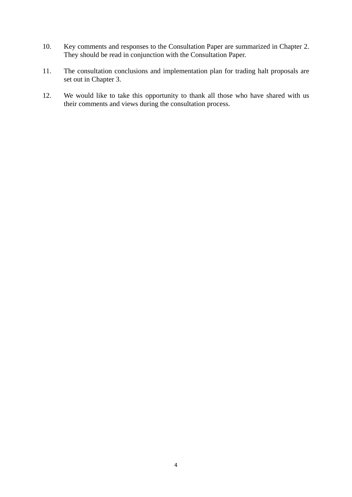- 10. Key comments and responses to the Consultation Paper are summarized in Chapter 2. They should be read in conjunction with the Consultation Paper.
- 11. The consultation conclusions and implementation plan for trading halt proposals are set out in Chapter 3.
- 12. We would like to take this opportunity to thank all those who have shared with us their comments and views during the consultation process.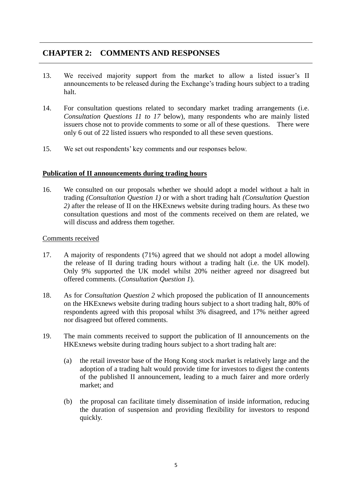# **CHAPTER 2: COMMENTS AND RESPONSES**

- 13. We received majority support from the market to allow a listed issuer's II announcements to be released during the Exchange's trading hours subject to a trading halt.
- 14. For consultation questions related to secondary market trading arrangements (i.e. *Consultation Questions 11 to 17* below), many respondents who are mainly listed issuers chose not to provide comments to some or all of these questions. There were only 6 out of 22 listed issuers who responded to all these seven questions.
- 15. We set out respondents' key comments and our responses below.

## **Publication of II announcements during trading hours**

16. We consulted on our proposals whether we should adopt a model without a halt in trading *(Consultation Question 1)* or with a short trading halt *(Consultation Question 2)* after the release of II on the HKExnews website during trading hours. As these two consultation questions and most of the comments received on them are related, we will discuss and address them together.

## Comments received

- 17. A majority of respondents (71%) agreed that we should not adopt a model allowing the release of II during trading hours without a trading halt (i.e. the UK model). Only 9% supported the UK model whilst 20% neither agreed nor disagreed but offered comments. (*Consultation Question 1*).
- 18. As for *Consultation Question 2* which proposed the publication of II announcements on the HKExnews website during trading hours subject to a short trading halt, 80% of respondents agreed with this proposal whilst 3% disagreed, and 17% neither agreed nor disagreed but offered comments.
- 19. The main comments received to support the publication of II announcements on the HKExnews website during trading hours subject to a short trading halt are:
	- (a) the retail investor base of the Hong Kong stock market is relatively large and the adoption of a trading halt would provide time for investors to digest the contents of the published II announcement, leading to a much fairer and more orderly market; and
	- (b) the proposal can facilitate timely dissemination of inside information, reducing the duration of suspension and providing flexibility for investors to respond quickly.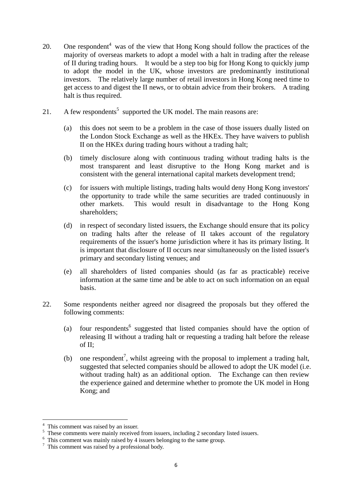- 20. One respondent<sup>4</sup> was of the view that Hong Kong should follow the practices of the majority of overseas markets to adopt a model with a halt in trading after the release of II during trading hours. It would be a step too big for Hong Kong to quickly jump to adopt the model in the UK, whose investors are predominantly institutional investors. The relatively large number of retail investors in Hong Kong need time to get access to and digest the II news, or to obtain advice from their brokers. A trading halt is thus required.
- 21. A few respondents<sup>5</sup> supported the UK model. The main reasons are:
	- (a) this does not seem to be a problem in the case of those issuers dually listed on the London Stock Exchange as well as the HKEx. They have waivers to publish II on the HKEx during trading hours without a trading halt;
	- (b) timely disclosure along with continuous trading without trading halts is the most transparent and least disruptive to the Hong Kong market and is consistent with the general international capital markets development trend;
	- (c) for issuers with multiple listings, trading halts would deny Hong Kong investors' the opportunity to trade while the same securities are traded continuously in other markets. This would result in disadvantage to the Hong Kong shareholders;
	- (d) in respect of secondary listed issuers, the Exchange should ensure that its policy on trading halts after the release of II takes account of the regulatory requirements of the issuer's home jurisdiction where it has its primary listing. It is important that disclosure of II occurs near simultaneously on the listed issuer's primary and secondary listing venues; and
	- (e) all shareholders of listed companies should (as far as practicable) receive information at the same time and be able to act on such information on an equal basis.
- 22. Some respondents neither agreed nor disagreed the proposals but they offered the following comments:
	- (a) four respondents<sup>6</sup> suggested that listed companies should have the option of releasing II without a trading halt or requesting a trading halt before the release of II;
	- (b) one respondent<sup>7</sup>, whilst agreeing with the proposal to implement a trading halt, suggested that selected companies should be allowed to adopt the UK model (i.e. without trading halt) as an additional option. The Exchange can then review the experience gained and determine whether to promote the UK model in Hong Kong; and

<sup>&</sup>lt;sup>4</sup> This comment was raised by an issuer.

<sup>&</sup>lt;sup>5</sup> These comments were mainly received from issuers, including 2 secondary listed issuers.

<sup>&</sup>lt;sup>6</sup> This comment was mainly raised by 4 issuers belonging to the same group.

 $\frac{7}{7}$  This comment was raised by a professional body.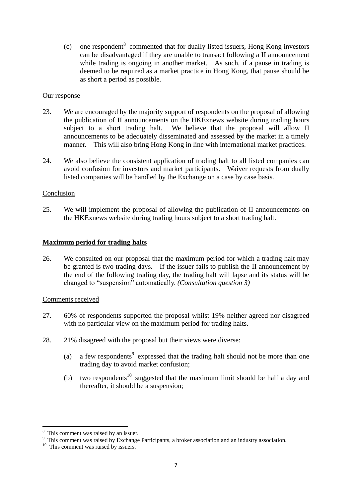$\text{(c)}$  one respondent<sup>8</sup> commented that for dually listed issuers, Hong Kong investors can be disadvantaged if they are unable to transact following a II announcement while trading is ongoing in another market. As such, if a pause in trading is deemed to be required as a market practice in Hong Kong, that pause should be as short a period as possible.

## Our response

- 23. We are encouraged by the majority support of respondents on the proposal of allowing the publication of II announcements on the HKExnews website during trading hours subject to a short trading halt. We believe that the proposal will allow II announcements to be adequately disseminated and assessed by the market in a timely manner. This will also bring Hong Kong in line with international market practices.
- 24. We also believe the consistent application of trading halt to all listed companies can avoid confusion for investors and market participants. Waiver requests from dually listed companies will be handled by the Exchange on a case by case basis.

## Conclusion

25. We will implement the proposal of allowing the publication of II announcements on the HKExnews website during trading hours subject to a short trading halt.

## **Maximum period for trading halts**

26. We consulted on our proposal that the maximum period for which a trading halt may be granted is two trading days. If the issuer fails to publish the II announcement by the end of the following trading day, the trading halt will lapse and its status will be changed to "suspension" automatically. *(Consultation question 3)*

## Comments received

- 27. 60% of respondents supported the proposal whilst 19% neither agreed nor disagreed with no particular view on the maximum period for trading halts.
- 28. 21% disagreed with the proposal but their views were diverse:
	- (a) a few respondents<sup>9</sup> expressed that the trading halt should not be more than one trading day to avoid market confusion;
	- (b) two respondents<sup>10</sup> suggested that the maximum limit should be half a day and thereafter, it should be a suspension;

<sup>8</sup> This comment was raised by an issuer.

<sup>&</sup>lt;sup>9</sup> This comment was raised by Exchange Participants, a broker association and an industry association.

<sup>&</sup>lt;sup>10</sup> This comment was raised by issuers.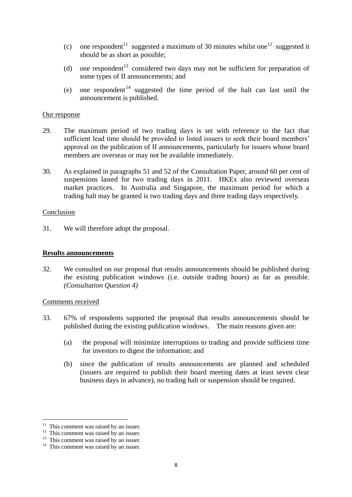- (c) one respondent<sup>11</sup> suggested a maximum of 30 minutes whilst one<sup>12</sup> suggested it should be as short as possible;
- (d) one respondent<sup>13</sup> considered two days may not be sufficient for preparation of some types of II announcements; and
- (e) one respondent<sup>14</sup> suggested the time period of the halt can last until the announcement is published.

- 29. The maximum period of two trading days is set with reference to the fact that sufficient lead time should be provided to listed issuers to seek their board members' approval on the publication of II announcements, particularly for issuers whose board members are overseas or may not be available immediately.
- 30. As explained in paragraphs 51 and 52 of the Consultation Paper, around 60 per cent of suspensions lasted for two trading days in 2011. HKEx also reviewed overseas market practices. In Australia and Singapore, the maximum period for which a trading halt may be granted is two trading days and three trading days respectively.

#### Conclusion

31. We will therefore adopt the proposal.

## **Results announcements**

32. We consulted on our proposal that results announcements should be published during the existing publication windows (i.e. outside trading hours) as far as possible. *(Consultation Question 4)*

## Comments received

- 33. 67% of respondents supported the proposal that results announcements should be published during the existing publication windows. The main reasons given are:
	- (a) the proposal will minimize interruptions to trading and provide sufficient time for investors to digest the information; and
	- (b) since the publication of results announcements are planned and scheduled (issuers are required to publish their board meeting dates at least seven clear business days in advance), no trading halt or suspension should be required.

 $11$  This comment was raised by an issuer.

<sup>&</sup>lt;sup>12</sup> This comment was raised by an issuer.

<sup>&</sup>lt;sup>13</sup> This comment was raised by an issuer.

 $14$  This comment was raised by an issuer.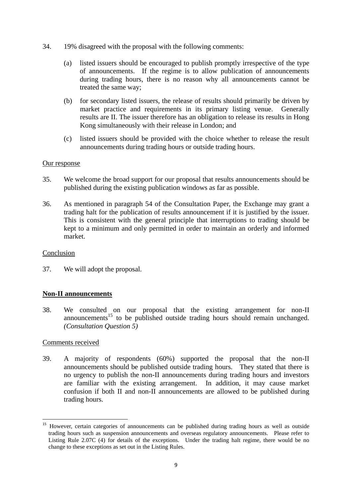- 34. 19% disagreed with the proposal with the following comments:
	- (a) listed issuers should be encouraged to publish promptly irrespective of the type of announcements. If the regime is to allow publication of announcements during trading hours, there is no reason why all announcements cannot be treated the same way;
	- (b) for secondary listed issuers, the release of results should primarily be driven by market practice and requirements in its primary listing venue. Generally results are II. The issuer therefore has an obligation to release its results in Hong Kong simultaneously with their release in London; and
	- (c) listed issuers should be provided with the choice whether to release the result announcements during trading hours or outside trading hours.

- 35. We welcome the broad support for our proposal that results announcements should be published during the existing publication windows as far as possible.
- 36. As mentioned in paragraph 54 of the Consultation Paper, the Exchange may grant a trading halt for the publication of results announcement if it is justified by the issuer. This is consistent with the general principle that interruptions to trading should be kept to a minimum and only permitted in order to maintain an orderly and informed market.

## Conclusion

37. We will adopt the proposal.

## **Non-II announcements**

38. We consulted on our proposal that the existing arrangement for non-II announcements<sup>15</sup> to be published outside trading hours should remain unchanged. *(Consultation Question 5)*

## Comments received

-

39. A majority of respondents (60%) supported the proposal that the non-II announcements should be published outside trading hours. They stated that there is no urgency to publish the non-II announcements during trading hours and investors are familiar with the existing arrangement. In addition, it may cause market confusion if both II and non-II announcements are allowed to be published during trading hours.

<sup>&</sup>lt;sup>15</sup> However, certain categories of announcements can be published during trading hours as well as outside trading hours such as suspension announcements and overseas regulatory announcements. Please refer to Listing Rule 2.07C (4) for details of the exceptions. Under the trading halt regime, there would be no change to these exceptions as set out in the Listing Rules.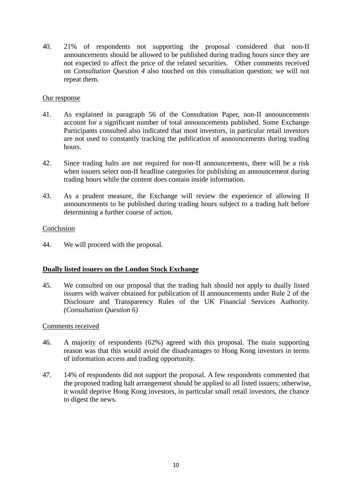40. 21% of respondents not supporting the proposal considered that non-II announcements should be allowed to be published during trading hours since they are not expected to affect the price of the related securities. Other comments received on *Consultation Question 4* also touched on this consultation question; we will not repeat them.

## Our response

- 41. As explained in paragraph 56 of the Consultation Paper, non-II announcements account for a significant number of total announcements published. Some Exchange Participants consulted also indicated that most investors, in particular retail investors are not used to constantly tracking the publication of announcements during trading hours.
- 42. Since trading halts are not required for non-II announcements, there will be a risk when issuers select non-II headline categories for publishing an announcement during trading hours while the content does contain inside information.
- 43. As a prudent measure, the Exchange will review the experience of allowing II announcements to be published during trading hours subject to a trading halt before determining a further course of action.

## Conclusion

44. We will proceed with the proposal.

## **Dually listed issuers on the London Stock Exchange**

45. We consulted on our proposal that the trading halt should not apply to dually listed issuers with waiver obtained for publication of II announcements under Rule 2 of the Disclosure and Transparency Rules of the UK Financial Services Authority. *(Consultation Question 6)*

## Comments received

- 46. A majority of respondents (62%) agreed with this proposal. The main supporting reason was that this would avoid the disadvantages to Hong Kong investors in terms of information access and trading opportunity.
- 47. 14% of respondents did not support the proposal. A few respondents commented that the proposed trading halt arrangement should be applied to all listed issuers; otherwise, it would deprive Hong Kong investors, in particular small retail investors, the chance to digest the news.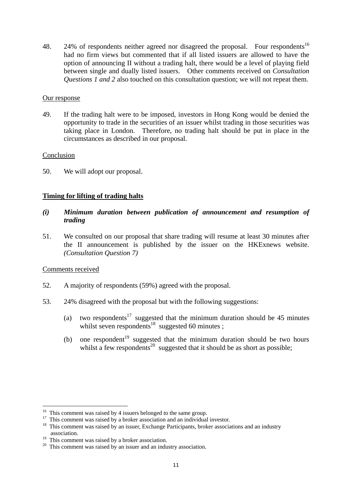48. 24% of respondents neither agreed nor disagreed the proposal. Four respondents<sup>16</sup> had no firm views but commented that if all listed issuers are allowed to have the option of announcing II without a trading halt, there would be a level of playing field between single and dually listed issuers. Other comments received on *Consultation Questions 1 and 2* also touched on this consultation question; we will not repeat them.

## Our response

49. If the trading halt were to be imposed, investors in Hong Kong would be denied the opportunity to trade in the securities of an issuer whilst trading in those securities was taking place in London. Therefore, no trading halt should be put in place in the circumstances as described in our proposal.

## Conclusion

50. We will adopt our proposal.

## **Timing for lifting of trading halts**

- *(i) Minimum duration between publication of announcement and resumption of trading*
- 51. We consulted on our proposal that share trading will resume at least 30 minutes after the II announcement is published by the issuer on the HKExnews website. *(Consultation Question 7)*

## Comments received

- 52. A majority of respondents (59%) agreed with the proposal.
- 53. 24% disagreed with the proposal but with the following suggestions:
	- (a) two respondents<sup>17</sup> suggested that the minimum duration should be 45 minutes whilst seven respondents<sup>18</sup> suggested 60 minutes ;
	- (b) one respondent<sup>19</sup> suggested that the minimum duration should be two hours whilst a few respondents<sup>20</sup> suggested that it should be as short as possible;

 $16$  This comment was raised by 4 issuers belonged to the same group.

<sup>&</sup>lt;sup>17</sup> This comment was raised by a broker association and an individual investor.

<sup>&</sup>lt;sup>18</sup> This comment was raised by an issuer, Exchange Participants, broker associations and an industry association.

<sup>&</sup>lt;sup>19</sup> This comment was raised by a broker association.

 $20$  This comment was raised by an issuer and an industry association.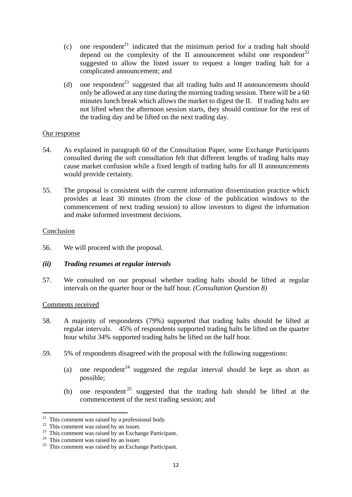- (c) one respondent<sup>21</sup> indicated that the minimum period for a trading halt should depend on the complexity of the II announcement whilst one respondent<sup>22</sup> suggested to allow the listed issuer to request a longer trading halt for a complicated announcement; and
- (d) one respondent<sup>23</sup> suggested that all trading halts and II announcements should only be allowed at any time during the morning trading session. There will be a 60 minutes lunch break which allows the market to digest the II. If trading halts are not lifted when the afternoon session starts, they should continue for the rest of the trading day and be lifted on the next trading day.

- 54. As explained in paragraph 60 of the Consultation Paper, some Exchange Participants consulted during the soft consultation felt that different lengths of trading halts may cause market confusion while a fixed length of trading halts for all II announcements would provide certainty.
- 55. The proposal is consistent with the current information dissemination practice which provides at least 30 minutes (from the close of the publication windows to the commencement of next trading session) to allow investors to digest the information and make informed investment decisions.

## Conclusion

56. We will proceed with the proposal.

## *(ii) Trading resumes at regular intervals*

57. We consulted on our proposal whether trading halts should be lifted at regular intervals on the quarter hour or the half hour. *(Consultation Question 8)*

## Comments received

- 58. A majority of respondents (79%) supported that trading halts should be lifted at regular intervals. 45% of respondents supported trading halts be lifted on the quarter hour whilst 34% supported trading halts be lifted on the half hour.
- 59. 5% of respondents disagreed with the proposal with the following suggestions:
	- (a) one respondent<sup>24</sup> suggested the regular interval should be kept as short as possible;
	- (b) one respondent  $25$  suggested that the trading halt should be lifted at the commencement of the next trading session; and

 $21$  This comment was raised by a professional body.

 $22$  This comment was raised by an issuer.

<sup>&</sup>lt;sup>23</sup> This comment was raised by an Exchange Participant.

 $24$  This comment was raised by an issuer.

 $25$  This comment was raised by an Exchange Participant.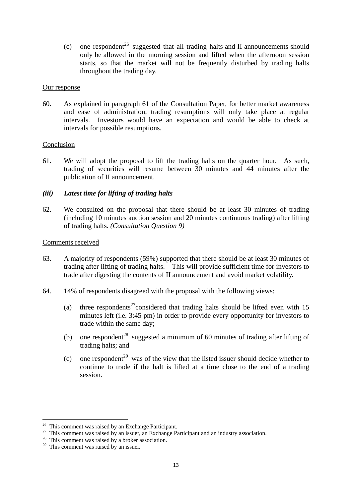(c) one respondent<sup>26</sup> suggested that all trading halts and II announcements should only be allowed in the morning session and lifted when the afternoon session starts, so that the market will not be frequently disturbed by trading halts throughout the trading day.

## Our response

60. As explained in paragraph 61 of the Consultation Paper, for better market awareness and ease of administration, trading resumptions will only take place at regular intervals. Investors would have an expectation and would be able to check at intervals for possible resumptions.

#### Conclusion

61. We will adopt the proposal to lift the trading halts on the quarter hour. As such, trading of securities will resume between 30 minutes and 44 minutes after the publication of II announcement.

## *(iii) Latest time for lifting of trading halts*

62. We consulted on the proposal that there should be at least 30 minutes of trading (including 10 minutes auction session and 20 minutes continuous trading) after lifting of trading halts. *(Consultation Question 9)*

## Comments received

- 63. A majority of respondents (59%) supported that there should be at least 30 minutes of trading after lifting of trading halts. This will provide sufficient time for investors to trade after digesting the contents of II announcement and avoid market volatility.
- 64. 14% of respondents disagreed with the proposal with the following views:
	- (a) three respondents<sup>27</sup>considered that trading halts should be lifted even with 15 minutes left (i.e. 3:45 pm) in order to provide every opportunity for investors to trade within the same day;
	- (b) one respondent<sup>28</sup> suggested a minimum of 60 minutes of trading after lifting of trading halts; and
	- (c) one respondent<sup>29</sup> was of the view that the listed issuer should decide whether to continue to trade if the halt is lifted at a time close to the end of a trading session.

 $26$  This comment was raised by an Exchange Participant.

 $27$  This comment was raised by an issuer, an Exchange Participant and an industry association.

<sup>&</sup>lt;sup>28</sup> This comment was raised by a broker association.

 $29$  This comment was raised by an issuer.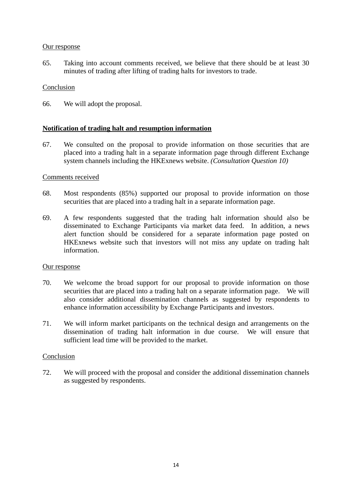65. Taking into account comments received, we believe that there should be at least 30 minutes of trading after lifting of trading halts for investors to trade.

## Conclusion

66. We will adopt the proposal.

## **Notification of trading halt and resumption information**

67. We consulted on the proposal to provide information on those securities that are placed into a trading halt in a separate information page through different Exchange system channels including the HKExnews website. *(Consultation Question 10)*

## Comments received

- 68. Most respondents (85%) supported our proposal to provide information on those securities that are placed into a trading halt in a separate information page.
- 69. A few respondents suggested that the trading halt information should also be disseminated to Exchange Participants via market data feed. In addition, a news alert function should be considered for a separate information page posted on HKExnews website such that investors will not miss any update on trading halt information.

## Our response

- 70. We welcome the broad support for our proposal to provide information on those securities that are placed into a trading halt on a separate information page. We will also consider additional dissemination channels as suggested by respondents to enhance information accessibility by Exchange Participants and investors.
- 71. We will inform market participants on the technical design and arrangements on the dissemination of trading halt information in due course. We will ensure that sufficient lead time will be provided to the market.

## Conclusion

72. We will proceed with the proposal and consider the additional dissemination channels as suggested by respondents.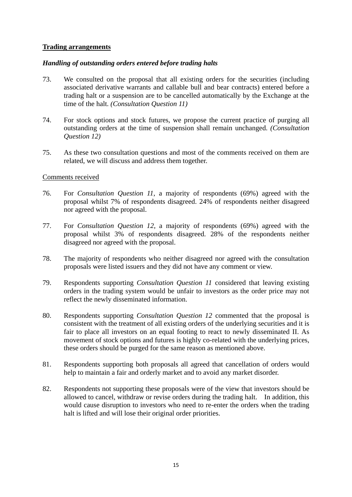## **Trading arrangements**

## *Handling of outstanding orders entered before trading halts*

- 73. We consulted on the proposal that all existing orders for the securities (including associated derivative warrants and callable bull and bear contracts) entered before a trading halt or a suspension are to be cancelled automatically by the Exchange at the time of the halt. *(Consultation Question 11)*
- 74. For stock options and stock futures, we propose the current practice of purging all outstanding orders at the time of suspension shall remain unchanged. *(Consultation Question 12)*
- 75. As these two consultation questions and most of the comments received on them are related, we will discuss and address them together.

## Comments received

- 76. For *Consultation Question 11*, a majority of respondents (69%) agreed with the proposal whilst 7% of respondents disagreed. 24% of respondents neither disagreed nor agreed with the proposal.
- 77. For *Consultation Question 12*, a majority of respondents (69%) agreed with the proposal whilst 3% of respondents disagreed. 28% of the respondents neither disagreed nor agreed with the proposal.
- 78. The majority of respondents who neither disagreed nor agreed with the consultation proposals were listed issuers and they did not have any comment or view.
- 79. Respondents supporting *Consultation Question 11* considered that leaving existing orders in the trading system would be unfair to investors as the order price may not reflect the newly disseminated information.
- 80. Respondents supporting *Consultation Question 12* commented that the proposal is consistent with the treatment of all existing orders of the underlying securities and it is fair to place all investors on an equal footing to react to newly disseminated II. As movement of stock options and futures is highly co-related with the underlying prices, these orders should be purged for the same reason as mentioned above.
- 81. Respondents supporting both proposals all agreed that cancellation of orders would help to maintain a fair and orderly market and to avoid any market disorder.
- 82. Respondents not supporting these proposals were of the view that investors should be allowed to cancel, withdraw or revise orders during the trading halt. In addition, this would cause disruption to investors who need to re-enter the orders when the trading halt is lifted and will lose their original order priorities.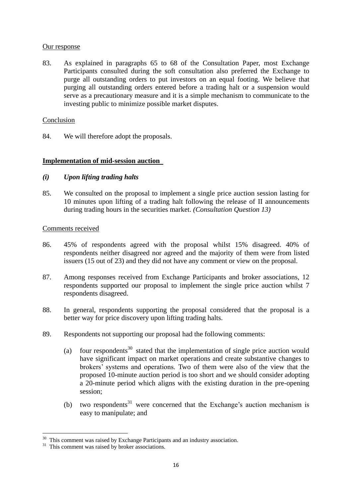83. As explained in paragraphs 65 to 68 of the Consultation Paper, most Exchange Participants consulted during the soft consultation also preferred the Exchange to purge all outstanding orders to put investors on an equal footing. We believe that purging all outstanding orders entered before a trading halt or a suspension would serve as a precautionary measure and it is a simple mechanism to communicate to the investing public to minimize possible market disputes.

## Conclusion

84. We will therefore adopt the proposals.

## **Implementation of mid-session auction**

## *(i) Upon lifting trading halts*

85. We consulted on the proposal to implement a single price auction session lasting for 10 minutes upon lifting of a trading halt following the release of II announcements during trading hours in the securities market. *(Consultation Question 13)* 

## Comments received

- 86. 45% of respondents agreed with the proposal whilst 15% disagreed. 40% of respondents neither disagreed nor agreed and the majority of them were from listed issuers (15 out of 23) and they did not have any comment or view on the proposal.
- 87. Among responses received from Exchange Participants and broker associations, 12 respondents supported our proposal to implement the single price auction whilst 7 respondents disagreed.
- 88. In general, respondents supporting the proposal considered that the proposal is a better way for price discovery upon lifting trading halts.
- 89. Respondents not supporting our proposal had the following comments:
	- (a) four respondents<sup>30</sup> stated that the implementation of single price auction would have significant impact on market operations and create substantive changes to brokers' systems and operations. Two of them were also of the view that the proposed 10-minute auction period is too short and we should consider adopting a 20-minute period which aligns with the existing duration in the pre-opening session;
	- (b) two respondents<sup>31</sup> were concerned that the Exchange's auction mechanism is easy to manipulate; and

 $30$  This comment was raised by Exchange Participants and an industry association.

<sup>&</sup>lt;sup>31</sup> This comment was raised by broker associations.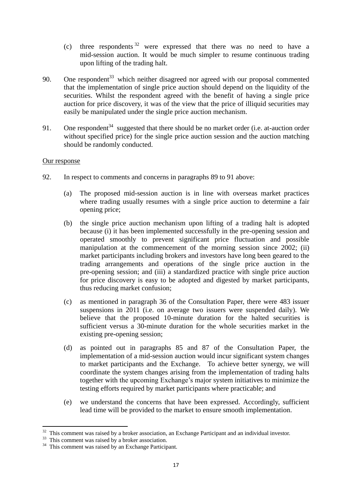- (c) three respondents  $32$  were expressed that there was no need to have a mid-session auction. It would be much simpler to resume continuous trading upon lifting of the trading halt.
- 90. One respondent<sup>33</sup> which neither disagreed nor agreed with our proposal commented that the implementation of single price auction should depend on the liquidity of the securities. Whilst the respondent agreed with the benefit of having a single price auction for price discovery, it was of the view that the price of illiquid securities may easily be manipulated under the single price auction mechanism.
- 91. One respondent<sup>34</sup> suggested that there should be no market order (i.e. at-auction order without specified price) for the single price auction session and the auction matching should be randomly conducted.

- 92. In respect to comments and concerns in paragraphs 89 to 91 above:
	- (a) The proposed mid-session auction is in line with overseas market practices where trading usually resumes with a single price auction to determine a fair opening price;
	- (b) the single price auction mechanism upon lifting of a trading halt is adopted because (i) it has been implemented successfully in the pre-opening session and operated smoothly to prevent significant price fluctuation and possible manipulation at the commencement of the morning session since 2002; (ii) market participants including brokers and investors have long been geared to the trading arrangements and operations of the single price auction in the pre-opening session; and (iii) a standardized practice with single price auction for price discovery is easy to be adopted and digested by market participants, thus reducing market confusion;
	- (c) as mentioned in paragraph 36 of the Consultation Paper, there were 483 issuer suspensions in 2011 (i.e. on average two issuers were suspended daily). We believe that the proposed 10-minute duration for the halted securities is sufficient versus a 30-minute duration for the whole securities market in the existing pre-opening session;
	- (d) as pointed out in paragraphs 85 and 87 of the Consultation Paper, the implementation of a mid-session auction would incur significant system changes to market participants and the Exchange. To achieve better synergy, we will coordinate the system changes arising from the implementation of trading halts together with the upcoming Exchange's major system initiatives to minimize the testing efforts required by market participants where practicable; and
	- (e) we understand the concerns that have been expressed. Accordingly, sufficient lead time will be provided to the market to ensure smooth implementation.

 $32$  This comment was raised by a broker association, an Exchange Participant and an individual investor.

 $33$  This comment was raised by a broker association.

<sup>&</sup>lt;sup>34</sup> This comment was raised by an Exchange Participant.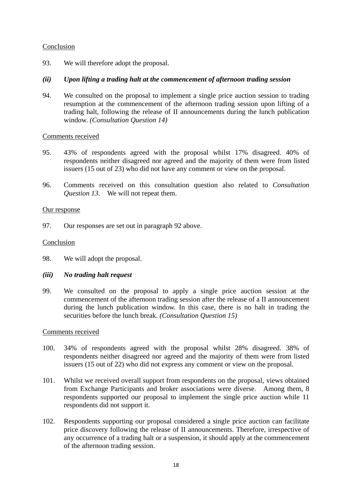## Conclusion

93. We will therefore adopt the proposal.

## *(ii) Upon lifting a trading halt at the commencement of afternoon trading session*

94. We consulted on the proposal to implement a single price auction session to trading resumption at the commencement of the afternoon trading session upon lifting of a trading halt, following the release of II announcements during the lunch publication window. *(Consultation Question 14)*

## Comments received

- 95. 43% of respondents agreed with the proposal whilst 17% disagreed. 40% of respondents neither disagreed nor agreed and the majority of them were from listed issuers (15 out of 23) who did not have any comment or view on the proposal.
- 96. Comments received on this consultation question also related to *Consultation Question 13*. We will not repeat them.

## Our response

97. Our responses are set out in paragraph 92 above.

## Conclusion

- 98. We will adopt the proposal.
- *(iii) No trading halt request*
- 99. We consulted on the proposal to apply a single price auction session at the commencement of the afternoon trading session after the release of a II announcement during the lunch publication window. In this case, there is no halt in trading the securities before the lunch break. *(Consultation Question 15)*

## Comments received

- 100. 34% of respondents agreed with the proposal whilst 28% disagreed. 38% of respondents neither disagreed nor agreed and the majority of them were from listed issuers (15 out of 22) who did not express any comment or view on the proposal.
- 101. Whilst we received overall support from respondents on the proposal, views obtained from Exchange Participants and broker associations were diverse. Among them, 8 respondents supported our proposal to implement the single price auction while 11 respondents did not support it.
- 102. Respondents supporting our proposal considered a single price auction can facilitate price discovery following the release of II announcements. Therefore, irrespective of any occurrence of a trading halt or a suspension, it should apply at the commencement of the afternoon trading session.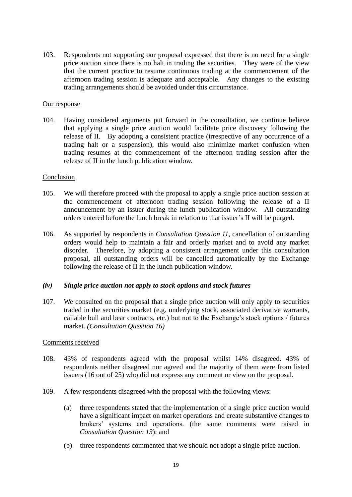103. Respondents not supporting our proposal expressed that there is no need for a single price auction since there is no halt in trading the securities. They were of the view that the current practice to resume continuous trading at the commencement of the afternoon trading session is adequate and acceptable. Any changes to the existing trading arrangements should be avoided under this circumstance.

#### Our response

104. Having considered arguments put forward in the consultation, we continue believe that applying a single price auction would facilitate price discovery following the release of II. By adopting a consistent practice (irrespective of any occurrence of a trading halt or a suspension), this would also minimize market confusion when trading resumes at the commencement of the afternoon trading session after the release of II in the lunch publication window.

#### Conclusion

- 105. We will therefore proceed with the proposal to apply a single price auction session at the commencement of afternoon trading session following the release of a II announcement by an issuer during the lunch publication window. All outstanding orders entered before the lunch break in relation to that issuer's II will be purged.
- 106. As supported by respondents in *Consultation Question 11,* cancellation of outstanding orders would help to maintain a fair and orderly market and to avoid any market disorder. Therefore, by adopting a consistent arrangement under this consultation proposal, all outstanding orders will be cancelled automatically by the Exchange following the release of II in the lunch publication window.

## *(iv) Single price auction not apply to stock options and stock futures*

107. We consulted on the proposal that a single price auction will only apply to securities traded in the securities market (e.g. underlying stock, associated derivative warrants, callable bull and bear contracts, etc.) but not to the Exchange's stock options / futures market. *(Consultation Question 16)*

## Comments received

- 108. 43% of respondents agreed with the proposal whilst 14% disagreed. 43% of respondents neither disagreed nor agreed and the majority of them were from listed issuers (16 out of 25) who did not express any comment or view on the proposal.
- 109. A few respondents disagreed with the proposal with the following views:
	- (a) three respondents stated that the implementation of a single price auction would have a significant impact on market operations and create substantive changes to brokers' systems and operations. (the same comments were raised in *Consultation Question 13*); and
	- (b) three respondents commented that we should not adopt a single price auction.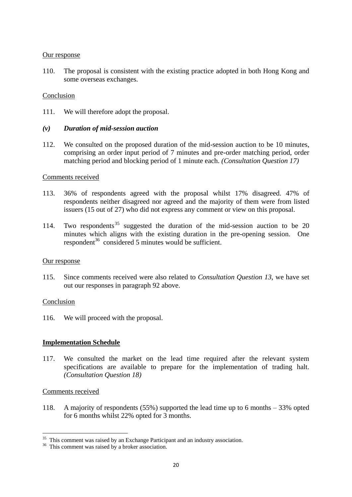110. The proposal is consistent with the existing practice adopted in both Hong Kong and some overseas exchanges.

#### Conclusion

111. We will therefore adopt the proposal.

## *(v) Duration of mid-session auction*

112. We consulted on the proposed duration of the mid-session auction to be 10 minutes, comprising an order input period of 7 minutes and pre-order matching period, order matching period and blocking period of 1 minute each. *(Consultation Question 17)*

#### Comments received

- 113. 36% of respondents agreed with the proposal whilst 17% disagreed. 47% of respondents neither disagreed nor agreed and the majority of them were from listed issuers (15 out of 27) who did not express any comment or view on this proposal.
- 114. Two respondents <sup>35</sup> suggested the duration of the mid-session auction to be 20 minutes which aligns with the existing duration in the pre-opening session. One respondent<sup>36</sup> considered 5 minutes would be sufficient.

#### Our response

115. Since comments received were also related to *Consultation Question 13*, we have set out our responses in paragraph 92 above.

## Conclusion

116. We will proceed with the proposal.

## **Implementation Schedule**

117. We consulted the market on the lead time required after the relevant system specifications are available to prepare for the implementation of trading halt. *(Consultation Question 18)*

#### Comments received

-

118. A majority of respondents (55%) supported the lead time up to 6 months – 33% opted for 6 months whilst 22% opted for 3 months.

<sup>&</sup>lt;sup>35</sup> This comment was raised by an Exchange Participant and an industry association.

<sup>&</sup>lt;sup>36</sup> This comment was raised by a broker association.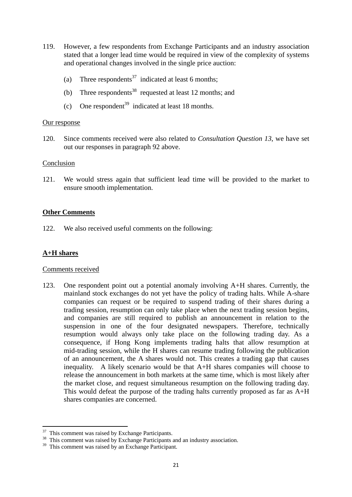- 119. However, a few respondents from Exchange Participants and an industry association stated that a longer lead time would be required in view of the complexity of systems and operational changes involved in the single price auction:
	- (a) Three respondents<sup>37</sup> indicated at least 6 months;
	- (b) Three respondents<sup>38</sup> requested at least 12 months; and
	- (c) One respondent<sup>39</sup> indicated at least 18 months.

120. Since comments received were also related to *Consultation Question 13*, we have set out our responses in paragraph 92 above.

#### Conclusion

121. We would stress again that sufficient lead time will be provided to the market to ensure smooth implementation.

## **Other Comments**

122. We also received useful comments on the following:

## **A+H shares**

-

## Comments received

123. One respondent point out a potential anomaly involving A+H shares. Currently, the mainland stock exchanges do not yet have the policy of trading halts. While A-share companies can request or be required to suspend trading of their shares during a trading session, resumption can only take place when the next trading session begins, and companies are still required to publish an announcement in relation to the suspension in one of the four designated newspapers. Therefore, technically resumption would always only take place on the following trading day. As a consequence, if Hong Kong implements trading halts that allow resumption at mid-trading session, while the H shares can resume trading following the publication of an announcement, the A shares would not. This creates a trading gap that causes inequality. A likely scenario would be that A+H shares companies will choose to release the announcement in both markets at the same time, which is most likely after the market close, and request simultaneous resumption on the following trading day. This would defeat the purpose of the trading halts currently proposed as far as A+H shares companies are concerned.

<sup>&</sup>lt;sup>37</sup> This comment was raised by Exchange Participants.

<sup>&</sup>lt;sup>38</sup> This comment was raised by Exchange Participants and an industry association.

<sup>&</sup>lt;sup>39</sup> This comment was raised by an Exchange Participant.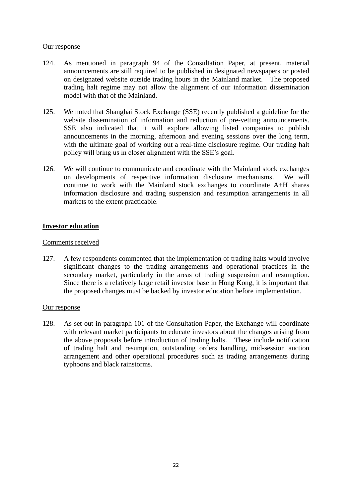- 124. As mentioned in paragraph 94 of the Consultation Paper, at present, material announcements are still required to be published in designated newspapers or posted on designated website outside trading hours in the Mainland market. The proposed trading halt regime may not allow the alignment of our information dissemination model with that of the Mainland.
- 125. We noted that Shanghai Stock Exchange (SSE) recently published a guideline for the website dissemination of information and reduction of pre-vetting announcements. SSE also indicated that it will explore allowing listed companies to publish announcements in the morning, afternoon and evening sessions over the long term, with the ultimate goal of working out a real-time disclosure regime. Our trading halt policy will bring us in closer alignment with the SSE's goal.
- 126. We will continue to communicate and coordinate with the Mainland stock exchanges on developments of respective information disclosure mechanisms. We will continue to work with the Mainland stock exchanges to coordinate A+H shares information disclosure and trading suspension and resumption arrangements in all markets to the extent practicable.

## **Investor education**

## Comments received

127. A few respondents commented that the implementation of trading halts would involve significant changes to the trading arrangements and operational practices in the secondary market, particularly in the areas of trading suspension and resumption. Since there is a relatively large retail investor base in Hong Kong, it is important that the proposed changes must be backed by investor education before implementation.

## Our response

128. As set out in paragraph 101 of the Consultation Paper, the Exchange will coordinate with relevant market participants to educate investors about the changes arising from the above proposals before introduction of trading halts. These include notification of trading halt and resumption, outstanding orders handling, mid-session auction arrangement and other operational procedures such as trading arrangements during typhoons and black rainstorms.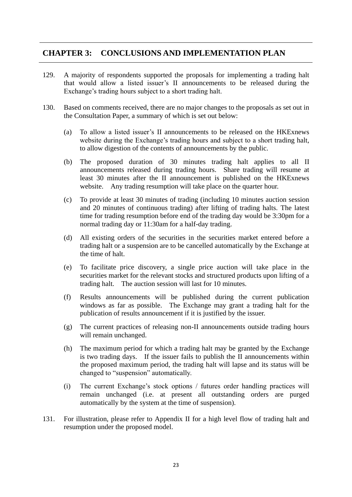# **CHAPTER 3: CONCLUSIONS AND IMPLEMENTATION PLAN**

- 129. A majority of respondents supported the proposals for implementing a trading halt that would allow a listed issuer's II announcements to be released during the Exchange's trading hours subject to a short trading halt.
- 130. Based on comments received, there are no major changes to the proposals as set out in the Consultation Paper, a summary of which is set out below:
	- (a) To allow a listed issuer's II announcements to be released on the HKExnews website during the Exchange's trading hours and subject to a short trading halt, to allow digestion of the contents of announcements by the public.
	- (b) The proposed duration of 30 minutes trading halt applies to all II announcements released during trading hours. Share trading will resume at least 30 minutes after the II announcement is published on the HKExnews website. Any trading resumption will take place on the quarter hour.
	- (c) To provide at least 30 minutes of trading (including 10 minutes auction session and 20 minutes of continuous trading) after lifting of trading halts. The latest time for trading resumption before end of the trading day would be 3:30pm for a normal trading day or 11:30am for a half-day trading.
	- (d) All existing orders of the securities in the securities market entered before a trading halt or a suspension are to be cancelled automatically by the Exchange at the time of halt.
	- (e) To facilitate price discovery, a single price auction will take place in the securities market for the relevant stocks and structured products upon lifting of a trading halt. The auction session will last for 10 minutes.
	- (f) Results announcements will be published during the current publication windows as far as possible. The Exchange may grant a trading halt for the publication of results announcement if it is justified by the issuer.
	- (g) The current practices of releasing non-II announcements outside trading hours will remain unchanged.
	- (h) The maximum period for which a trading halt may be granted by the Exchange is two trading days. If the issuer fails to publish the II announcements within the proposed maximum period, the trading halt will lapse and its status will be changed to "suspension" automatically.
	- (i) The current Exchange's stock options / futures order handling practices will remain unchanged (i.e. at present all outstanding orders are purged automatically by the system at the time of suspension).
- 131. For illustration, please refer to Appendix II for a high level flow of trading halt and resumption under the proposed model.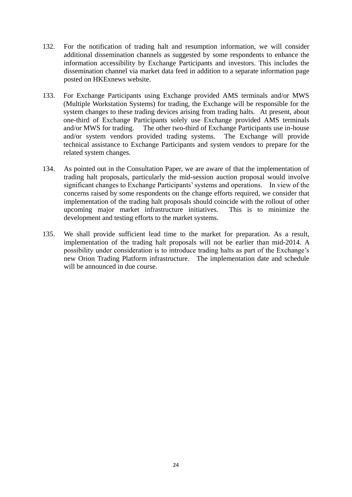- 132. For the notification of trading halt and resumption information, we will consider additional dissemination channels as suggested by some respondents to enhance the information accessibility by Exchange Participants and investors. This includes the dissemination channel via market data feed in addition to a separate information page posted on HKExnews website.
- 133. For Exchange Participants using Exchange provided AMS terminals and/or MWS (Multiple Workstation Systems) for trading, the Exchange will be responsible for the system changes to these trading devices arising from trading halts. At present, about one-third of Exchange Participants solely use Exchange provided AMS terminals and/or MWS for trading. The other two-third of Exchange Participants use in-house and/or system vendors provided trading systems. The Exchange will provide technical assistance to Exchange Participants and system vendors to prepare for the related system changes.
- 134. As pointed out in the Consultation Paper, we are aware of that the implementation of trading halt proposals, particularly the mid-session auction proposal would involve significant changes to Exchange Participants' systems and operations. In view of the concerns raised by some respondents on the change efforts required, we consider that implementation of the trading halt proposals should coincide with the rollout of other upcoming major market infrastructure initiatives. This is to minimize the development and testing efforts to the market systems.
- 135. We shall provide sufficient lead time to the market for preparation. As a result, implementation of the trading halt proposals will not be earlier than mid-2014. A possibility under consideration is to introduce trading halts as part of the Exchange's new Orion Trading Platform infrastructure. The implementation date and schedule will be announced in due course.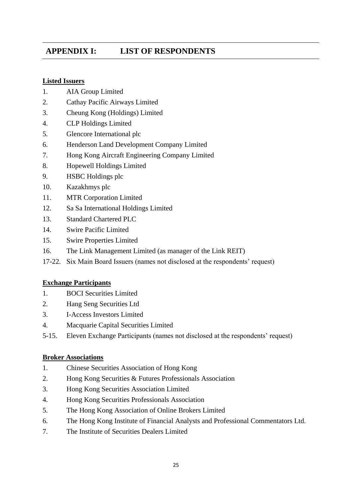# **APPENDIX I: LIST OF RESPONDENTS**

## **Listed Issuers**

- 1. AIA Group Limited
- 2. Cathay Pacific Airways Limited
- 3. Cheung Kong (Holdings) Limited
- 4. CLP Holdings Limited
- 5. Glencore International plc
- 6. Henderson Land Development Company Limited
- 7. Hong Kong Aircraft Engineering Company Limited
- 8. Hopewell Holdings Limited
- 9. HSBC Holdings plc
- 10. Kazakhmys plc
- 11. MTR Corporation Limited
- 12. Sa Sa International Holdings Limited
- 13. Standard Chartered PLC
- 14. Swire Pacific Limited
- 15. Swire Properties Limited
- 16. The Link Management Limited (as manager of the Link REIT)
- 17-22. Six Main Board Issuers (names not disclosed at the respondents' request)

## **Exchange Participants**

- 1. BOCI Securities Limited
- 2. Hang Seng Securities Ltd
- 3. I-Access Investors Limited
- 4. Macquarie Capital Securities Limited
- 5-15. Eleven Exchange Participants (names not disclosed at the respondents' request)

## **Broker Associations**

- 1. Chinese Securities Association of Hong Kong
- 2. Hong Kong Securities & Futures Professionals Association
- 3. Hong Kong Securities Association Limited
- 4. Hong Kong Securities Professionals Association
- 5. The Hong Kong Association of Online Brokers Limited
- 6. The Hong Kong Institute of Financial Analysts and Professional Commentators Ltd.
- 7. The Institute of Securities Dealers Limited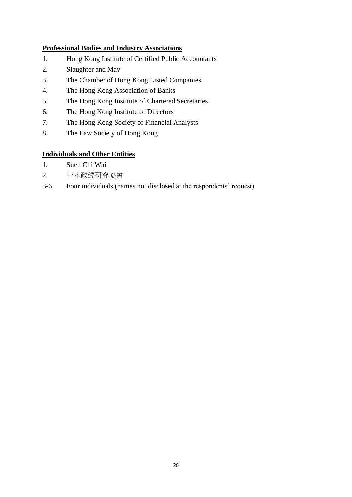## **Professional Bodies and Industry Associations**

- 1. Hong Kong Institute of Certified Public Accountants
- 2. Slaughter and May
- 3. The Chamber of Hong Kong Listed Companies
- 4. The Hong Kong Association of Banks
- 5. The Hong Kong Institute of Chartered Secretaries
- 6. The Hong Kong Institute of Directors
- 7. The Hong Kong Society of Financial Analysts
- 8. The Law Society of Hong Kong

## **Individuals and Other Entities**

- 1. Suen Chi Wai
- 2. 善水政經研究協會
- 3-6. Four individuals (names not disclosed at the respondents' request)